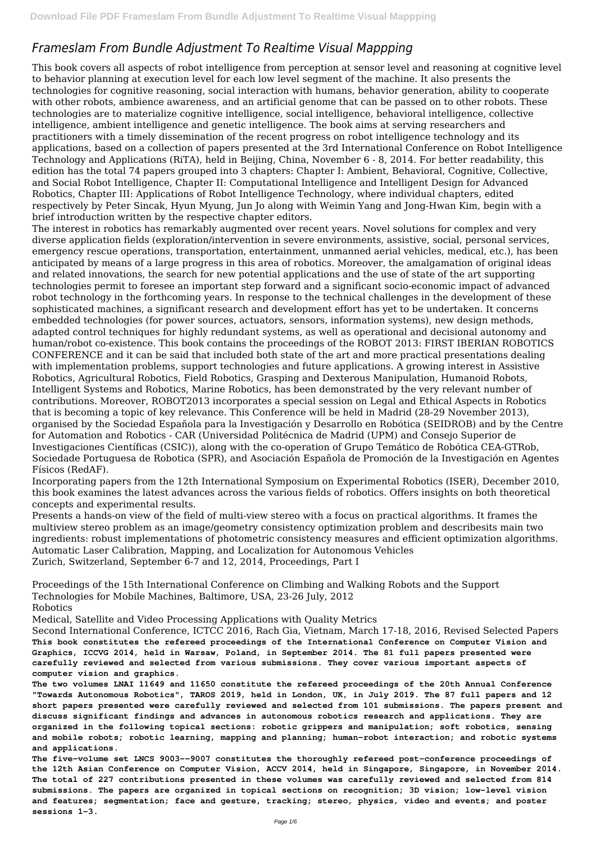# *Frameslam From Bundle Adjustment To Realtime Visual Mappping*

This book covers all aspects of robot intelligence from perception at sensor level and reasoning at cognitive level to behavior planning at execution level for each low level segment of the machine. It also presents the technologies for cognitive reasoning, social interaction with humans, behavior generation, ability to cooperate with other robots, ambience awareness, and an artificial genome that can be passed on to other robots. These technologies are to materialize cognitive intelligence, social intelligence, behavioral intelligence, collective intelligence, ambient intelligence and genetic intelligence. The book aims at serving researchers and practitioners with a timely dissemination of the recent progress on robot intelligence technology and its applications, based on a collection of papers presented at the 3rd International Conference on Robot Intelligence Technology and Applications (RiTA), held in Beijing, China, November 6 - 8, 2014. For better readability, this edition has the total 74 papers grouped into 3 chapters: Chapter I: Ambient, Behavioral, Cognitive, Collective, and Social Robot Intelligence, Chapter II: Computational Intelligence and Intelligent Design for Advanced Robotics, Chapter III: Applications of Robot Intelligence Technology, where individual chapters, edited respectively by Peter Sincak, Hyun Myung, Jun Jo along with Weimin Yang and Jong-Hwan Kim, begin with a brief introduction written by the respective chapter editors.

The interest in robotics has remarkably augmented over recent years. Novel solutions for complex and very diverse application fields (exploration/intervention in severe environments, assistive, social, personal services, emergency rescue operations, transportation, entertainment, unmanned aerial vehicles, medical, etc.), has been anticipated by means of a large progress in this area of robotics. Moreover, the amalgamation of original ideas and related innovations, the search for new potential applications and the use of state of the art supporting technologies permit to foresee an important step forward and a significant socio-economic impact of advanced robot technology in the forthcoming years. In response to the technical challenges in the development of these sophisticated machines, a significant research and development effort has yet to be undertaken. It concerns embedded technologies (for power sources, actuators, sensors, information systems), new design methods, adapted control techniques for highly redundant systems, as well as operational and decisional autonomy and human/robot co-existence. This book contains the proceedings of the ROBOT 2013: FIRST IBERIAN ROBOTICS CONFERENCE and it can be said that included both state of the art and more practical presentations dealing with implementation problems, support technologies and future applications. A growing interest in Assistive Robotics, Agricultural Robotics, Field Robotics, Grasping and Dexterous Manipulation, Humanoid Robots, Intelligent Systems and Robotics, Marine Robotics, has been demonstrated by the very relevant number of contributions. Moreover, ROBOT2013 incorporates a special session on Legal and Ethical Aspects in Robotics that is becoming a topic of key relevance. This Conference will be held in Madrid (28-29 November 2013), organised by the Sociedad Española para la Investigación y Desarrollo en Robótica (SEIDROB) and by the Centre for Automation and Robotics - CAR (Universidad Politécnica de Madrid (UPM) and Consejo Superior de Investigaciones Científicas (CSIC)), along with the co-operation of Grupo Temático de Robótica CEA-GTRob, Sociedade Portuguesa de Robotica (SPR), and Asociación Española de Promoción de la Investigación en Agentes Físicos (RedAF).

Incorporating papers from the 12th International Symposium on Experimental Robotics (ISER), December 2010, this book examines the latest advances across the various fields of robotics. Offers insights on both theoretical concepts and experimental results.

Presents a hands-on view of the field of multi-view stereo with a focus on practical algorithms. It frames the multiview stereo problem as an image/geometry consistency optimization problem and describesits main two ingredients: robust implementations of photometric consistency measures and efficient optimization algorithms. Automatic Laser Calibration, Mapping, and Localization for Autonomous Vehicles Zurich, Switzerland, September 6-7 and 12, 2014, Proceedings, Part I

Proceedings of the 15th International Conference on Climbing and Walking Robots and the Support Technologies for Mobile Machines, Baltimore, USA, 23-26 July, 2012 Robotics

Medical, Satellite and Video Processing Applications with Quality Metrics

Second International Conference, ICTCC 2016, Rach Gia, Vietnam, March 17-18, 2016, Revised Selected Papers

**This book constitutes the refereed proceedings of the International Conference on Computer Vision and Graphics, ICCVG 2014, held in Warsaw, Poland, in September 2014. The 81 full papers presented were carefully reviewed and selected from various submissions. They cover various important aspects of computer vision and graphics.**

**The two volumes LNAI 11649 and 11650 constitute the refereed proceedings of the 20th Annual Conference "Towards Autonomous Robotics", TAROS 2019, held in London, UK, in July 2019. The 87 full papers and 12 short papers presented were carefully reviewed and selected from 101 submissions. The papers present and discuss significant findings and advances in autonomous robotics research and applications. They are organized in the following topical sections: robotic grippers and manipulation; soft robotics, sensing and mobile robots; robotic learning, mapping and planning; human-robot interaction; and robotic systems and applications.**

**The five-volume set LNCS 9003--9007 constitutes the thoroughly refereed post-conference proceedings of the 12th Asian Conference on Computer Vision, ACCV 2014, held in Singapore, Singapore, in November 2014. The total of 227 contributions presented in these volumes was carefully reviewed and selected from 814 submissions. The papers are organized in topical sections on recognition; 3D vision; low-level vision and features; segmentation; face and gesture, tracking; stereo, physics, video and events; and poster sessions 1-3.**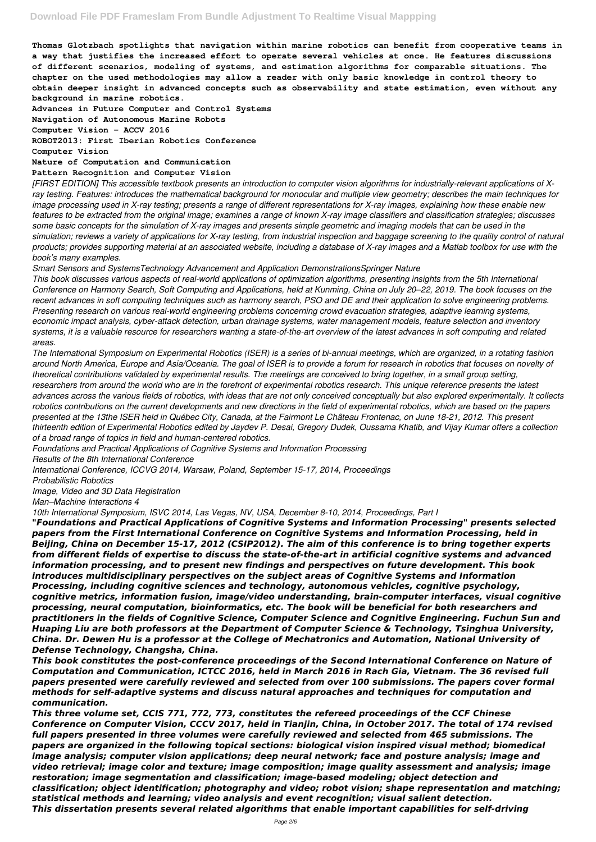**Thomas Glotzbach spotlights that navigation within marine robotics can benefit from cooperative teams in a way that justifies the increased effort to operate several vehicles at once. He features discussions of different scenarios, modeling of systems, and estimation algorithms for comparable situations. The chapter on the used methodologies may allow a reader with only basic knowledge in control theory to obtain deeper insight in advanced concepts such as observability and state estimation, even without any background in marine robotics.**

**Advances in Future Computer and Control Systems Navigation of Autonomous Marine Robots**

**Computer Vision – ACCV 2016**

**ROBOT2013: First Iberian Robotics Conference**

**Computer Vision**

**Nature of Computation and Communication**

#### **Pattern Recognition and Computer Vision**

*[FIRST EDITION] This accessible textbook presents an introduction to computer vision algorithms for industrially-relevant applications of Xray testing. Features: introduces the mathematical background for monocular and multiple view geometry; describes the main techniques for image processing used in X-ray testing; presents a range of different representations for X-ray images, explaining how these enable new features to be extracted from the original image; examines a range of known X-ray image classifiers and classification strategies; discusses some basic concepts for the simulation of X-ray images and presents simple geometric and imaging models that can be used in the simulation; reviews a variety of applications for X-ray testing, from industrial inspection and baggage screening to the quality control of natural products; provides supporting material at an associated website, including a database of X-ray images and a Matlab toolbox for use with the book's many examples.*

*Smart Sensors and SystemsTechnology Advancement and Application DemonstrationsSpringer Nature*

*This book discusses various aspects of real-world applications of optimization algorithms, presenting insights from the 5th International Conference on Harmony Search, Soft Computing and Applications, held at Kunming, China on July 20–22, 2019. The book focuses on the recent advances in soft computing techniques such as harmony search, PSO and DE and their application to solve engineering problems. Presenting research on various real-world engineering problems concerning crowd evacuation strategies, adaptive learning systems, economic impact analysis, cyber-attack detection, urban drainage systems, water management models, feature selection and inventory systems, it is a valuable resource for researchers wanting a state-of-the-art overview of the latest advances in soft computing and related areas.*

*The International Symposium on Experimental Robotics (ISER) is a series of bi-annual meetings, which are organized, in a rotating fashion around North America, Europe and Asia/Oceania. The goal of ISER is to provide a forum for research in robotics that focuses on novelty of theoretical contributions validated by experimental results. The meetings are conceived to bring together, in a small group setting, researchers from around the world who are in the forefront of experimental robotics research. This unique reference presents the latest advances across the various fields of robotics, with ideas that are not only conceived conceptually but also explored experimentally. It collects robotics contributions on the current developments and new directions in the field of experimental robotics, which are based on the papers presented at the 13the ISER held in Québec City, Canada, at the Fairmont Le Château Frontenac, on June 18-21, 2012. This present thirteenth edition of Experimental Robotics edited by Jaydev P. Desai, Gregory Dudek, Oussama Khatib, and Vijay Kumar offers a collection of a broad range of topics in field and human-centered robotics.*

*Foundations and Practical Applications of Cognitive Systems and Information Processing*

*Results of the 8th International Conference*

*International Conference, ICCVG 2014, Warsaw, Poland, September 15-17, 2014, Proceedings*

*Probabilistic Robotics*

*Image, Video and 3D Data Registration*

*Man–Machine Interactions 4*

*10th International Symposium, ISVC 2014, Las Vegas, NV, USA, December 8-10, 2014, Proceedings, Part I*

*"Foundations and Practical Applications of Cognitive Systems and Information Processing" presents selected papers from the First International Conference on Cognitive Systems and Information Processing, held in Beijing, China on December 15-17, 2012 (CSIP2012). The aim of this conference is to bring together experts from different fields of expertise to discuss the state-of-the-art in artificial cognitive systems and advanced information processing, and to present new findings and perspectives on future development. This book introduces multidisciplinary perspectives on the subject areas of Cognitive Systems and Information Processing, including cognitive sciences and technology, autonomous vehicles, cognitive psychology, cognitive metrics, information fusion, image/video understanding, brain-computer interfaces, visual cognitive processing, neural computation, bioinformatics, etc. The book will be beneficial for both researchers and practitioners in the fields of Cognitive Science, Computer Science and Cognitive Engineering. Fuchun Sun and Huaping Liu are both professors at the Department of Computer Science & Technology, Tsinghua University,*

*China. Dr. Dewen Hu is a professor at the College of Mechatronics and Automation, National University of Defense Technology, Changsha, China.*

*This book constitutes the post-conference proceedings of the Second International Conference on Nature of Computation and Communication, ICTCC 2016, held in March 2016 in Rach Gia, Vietnam. The 36 revised full papers presented were carefully reviewed and selected from over 100 submissions. The papers cover formal methods for self-adaptive systems and discuss natural approaches and techniques for computation and communication.*

*This three volume set, CCIS 771, 772, 773, constitutes the refereed proceedings of the CCF Chinese Conference on Computer Vision, CCCV 2017, held in Tianjin, China, in October 2017. The total of 174 revised full papers presented in three volumes were carefully reviewed and selected from 465 submissions. The papers are organized in the following topical sections: biological vision inspired visual method; biomedical image analysis; computer vision applications; deep neural network; face and posture analysis; image and video retrieval; image color and texture; image composition; image quality assessment and analysis; image restoration; image segmentation and classification; image-based modeling; object detection and classification; object identification; photography and video; robot vision; shape representation and matching; statistical methods and learning; video analysis and event recognition; visual salient detection. This dissertation presents several related algorithms that enable important capabilities for self-driving*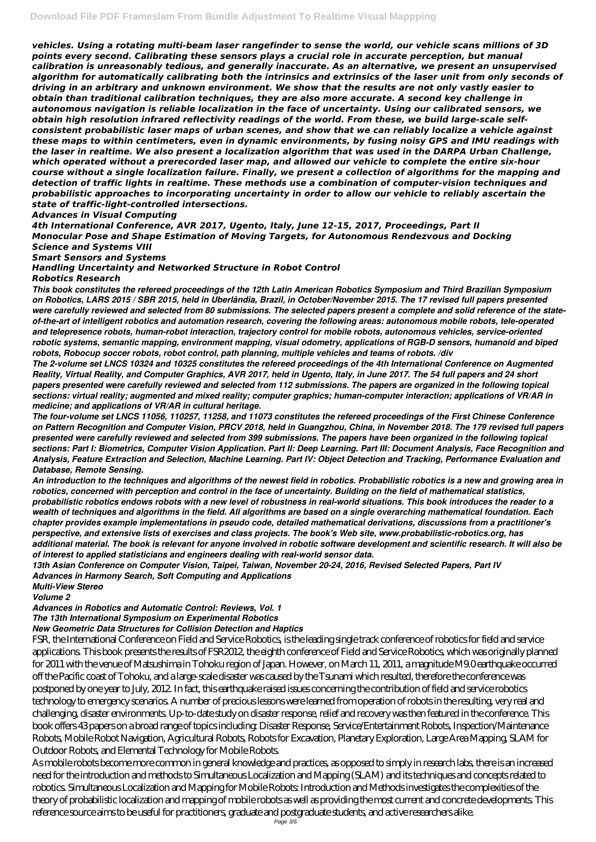*vehicles. Using a rotating multi-beam laser rangefinder to sense the world, our vehicle scans millions of 3D points every second. Calibrating these sensors plays a crucial role in accurate perception, but manual calibration is unreasonably tedious, and generally inaccurate. As an alternative, we present an unsupervised algorithm for automatically calibrating both the intrinsics and extrinsics of the laser unit from only seconds of driving in an arbitrary and unknown environment. We show that the results are not only vastly easier to obtain than traditional calibration techniques, they are also more accurate. A second key challenge in autonomous navigation is reliable localization in the face of uncertainty. Using our calibrated sensors, we obtain high resolution infrared reflectivity readings of the world. From these, we build large-scale selfconsistent probabilistic laser maps of urban scenes, and show that we can reliably localize a vehicle against these maps to within centimeters, even in dynamic environments, by fusing noisy GPS and IMU readings with the laser in realtime. We also present a localization algorithm that was used in the DARPA Urban Challenge, which operated without a prerecorded laser map, and allowed our vehicle to complete the entire six-hour course without a single localization failure. Finally, we present a collection of algorithms for the mapping and detection of traffic lights in realtime. These methods use a combination of computer-vision techniques and probabilistic approaches to incorporating uncertainty in order to allow our vehicle to reliably ascertain the state of traffic-light-controlled intersections.*

#### *Advances in Visual Computing*

*4th International Conference, AVR 2017, Ugento, Italy, June 12-15, 2017, Proceedings, Part II Monocular Pose and Shape Estimation of Moving Targets, for Autonomous Rendezvous and Docking Science and Systems VIII*

*Smart Sensors and Systems*

*Handling Uncertainty and Networked Structure in Robot Control*

### *Robotics Research*

*This book constitutes the refereed proceedings of the 12th Latin American Robotics Symposium and Third Brazilian Symposium on Robotics, LARS 2015 / SBR 2015, held in Uberlândia, Brazil, in October/November 2015. The 17 revised full papers presented were carefully reviewed and selected from 80 submissions. The selected papers present a complete and solid reference of the stateof-the-art of intelligent robotics and automation research, covering the following areas: autonomous mobile robots, tele-operated and telepresence robots, human-robot interaction, trajectory control for mobile robots, autonomous vehicles, service-oriented robotic systems, semantic mapping, environment mapping, visual odometry, applications of RGB-D sensors, humanoid and biped robots, Robocup soccer robots, robot control, path planning, multiple vehicles and teams of robots. /div*

*The 2-volume set LNCS 10324 and 10325 constitutes the refereed proceedings of the 4th International Conference on Augmented Reality, Virtual Reality, and Computer Graphics, AVR 2017, held in Ugento, Italy, in June 2017. The 54 full papers and 24 short papers presented were carefully reviewed and selected from 112 submissions. The papers are organized in the following topical sections: virtual reality; augmented and mixed reality; computer graphics; human-computer interaction; applications of VR/AR in medicine; and applications of VR/AR in cultural heritage.*

*The four-volume set LNCS 11056, 110257, 11258, and 11073 constitutes the refereed proceedings of the First Chinese Conference on Pattern Recognition and Computer Vision, PRCV 2018, held in Guangzhou, China, in November 2018. The 179 revised full papers presented were carefully reviewed and selected from 399 submissions. The papers have been organized in the following topical sections: Part I: Biometrics, Computer Vision Application. Part II: Deep Learning. Part III: Document Analysis, Face Recognition and Analysis, Feature Extraction and Selection, Machine Learning. Part IV: Object Detection and Tracking, Performance Evaluation and Database, Remote Sensing.*

*An introduction to the techniques and algorithms of the newest field in robotics. Probabilistic robotics is a new and growing area in robotics, concerned with perception and control in the face of uncertainty. Building on the field of mathematical statistics, probabilistic robotics endows robots with a new level of robustness in real-world situations. This book introduces the reader to a wealth of techniques and algorithms in the field. All algorithms are based on a single overarching mathematical foundation. Each chapter provides example implementations in pseudo code, detailed mathematical derivations, discussions from a practitioner's perspective, and extensive lists of exercises and class projects. The book's Web site, www.probabilistic-robotics.org, has additional material. The book is relevant for anyone involved in robotic software development and scientific research. It will also be of interest to applied statisticians and engineers dealing with real-world sensor data.*

*13th Asian Conference on Computer Vision, Taipei, Taiwan, November 20-24, 2016, Revised Selected Papers, Part IV Advances in Harmony Search, Soft Computing and Applications*

*Multi-View Stereo*

*Volume 2*

*Advances in Robotics and Automatic Control: Reviews, Vol. 1*

*The 13th International Symposium on Experimental Robotics*

*New Geometric Data Structures for Collision Detection and Haptics*

FSR, the International Conference on Field and Service Robotics, is the leading single track conference of robotics for field and service applications. This book presents the results of FSR2012, the eighth conference of Field and Service Robotics, which was originally planned for 2011 with the venue of Matsushima in Tohoku region of Japan. However, on March 11, 2011, a magnitude M9.0 earthquake occurred off the Pacific coast of Tohoku, and a large-scale disaster was caused by the Tsunami which resulted, therefore the conference was postponed by one year to July, 2012. In fact, this earthquake raised issues concerning the contribution of field and service robotics technology to emergency scenarios. A number of precious lessons were learned from operation of robots in the resulting, very real and challenging, disaster environments. Up-to-date study on disaster response, relief and recovery was then featured in the conference. This book offers 43 papers on a broad range of topics including: Disaster Response, Service/Entertainment Robots, Inspection/Maintenance Robots, Mobile Robot Navigation, Agricultural Robots, Robots for Excavation, Planetary Exploration, Large Area Mapping, SLAM for Outdoor Robots, and Elemental Technology for Mobile Robots. As mobile robots become more common in general knowledge and practices, as opposed to simply in research labs, there is an increased need for the introduction and methods to Simultaneous Localization and Mapping (SLAM) and its techniques and concepts related to robotics. Simultaneous Localization and Mapping for Mobile Robots: Introduction and Methods investigates the complexities of the theory of probabilistic localization and mapping of mobile robots as well as providing the most current and concrete developments. This reference source aims to be useful for practitioners, graduate and postgraduate students, and active researchers alike. Page 3/6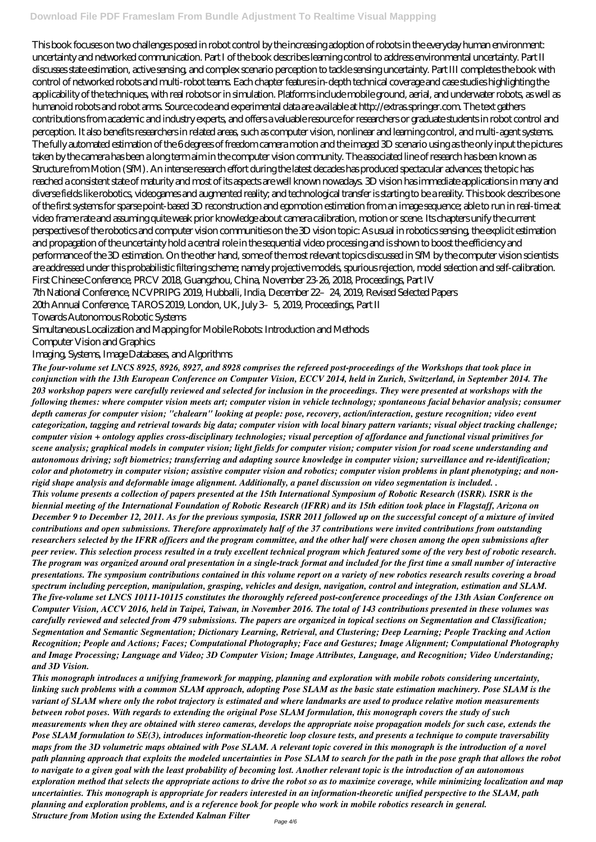## **Download File PDF Frameslam From Bundle Adjustment To Realtime Visual Mappping**

This book focuses on two challenges posed in robot control by the increasing adoption of robots in the everyday human environment: uncertainty and networked communication. Part I of the book describes learning control to address environmental uncertainty. Part II discusses state estimation, active sensing, and complex scenario perception to tackle sensing uncertainty. Part III completes the book with control of networked robots and multi-robot teams. Each chapter features in-depth technical coverage and case studies highlighting the applicability of the techniques, with real robots or in simulation. Platforms include mobile ground, aerial, and underwater robots, as well as humanoid robots and robot arms. Source code and experimental data are available at http://extras.springer.com. The text gathers contributions from academic and industry experts, and offers a valuable resource for researchers or graduate students in robot control and perception. It also benefits researchers in related areas, such as computer vision, nonlinear and learning control, and multi-agent systems. The fully automated estimation of the 6 degrees of freedom camera motion and the imaged 3D scenario using as the only input the pictures taken by the camera has been a long term aim in the computer vision community. The associated line of research has been known as Structure from Motion (SfM). An intense research effort during the latest decades has produced spectacular advances; the topic has reached a consistent state of maturity and most of its aspects are well known nowadays. 3D vision has immediate applications in many and diverse fields like robotics, videogames and augmented reality; and technological transfer is starting to be a reality. This book describes one of the first systems for sparse point-based 3D reconstruction and egomotion estimation from an image sequence; able to run in real-time at video frame rate and assuming quite weak prior knowledge about camera calibration, motion or scene. Its chapters unify the current perspectives of the robotics and computer vision communities on the 3D vision topic: As usual in robotics sensing, the explicit estimation and propagation of the uncertainty hold a central role in the sequential video processing and is shown to boost the efficiency and performance of the 3D estimation. On the other hand, some of the most relevant topics discussed in SfM by the computer vision scientists are addressed under this probabilistic filtering scheme; namely projective models, spurious rejection, model selection and self-calibration. First Chinese Conference, PRCV 2018, Guangzhou, China, November 23-26, 2018, Proceedings, Part IV 7th National Conference, NCVPRIPG 2019, Hubballi, India, December 22–24, 2019, Revised Selected Papers 20th Annual Conference, TAROS 2019, London, UK, July 3–5, 2019, Proceedings, Part II Towards Autonomous Robotic Systems

Simultaneous Localization and Mapping for Mobile Robots: Introduction and Methods

Computer Vision and Graphics

Imaging, Systems, Image Databases, and Algorithms

*The four-volume set LNCS 8925, 8926, 8927, and 8928 comprises the refereed post-proceedings of the Workshops that took place in conjunction with the 13th European Conference on Computer Vision, ECCV 2014, held in Zurich, Switzerland, in September 2014. The 203 workshop papers were carefully reviewed and selected for inclusion in the proceedings. They were presented at workshops with the following themes: where computer vision meets art; computer vision in vehicle technology; spontaneous facial behavior analysis; consumer depth cameras for computer vision; "chalearn" looking at people: pose, recovery, action/interaction, gesture recognition; video event categorization, tagging and retrieval towards big data; computer vision with local binary pattern variants; visual object tracking challenge; computer vision + ontology applies cross-disciplinary technologies; visual perception of affordance and functional visual primitives for scene analysis; graphical models in computer vision; light fields for computer vision; computer vision for road scene understanding and autonomous driving; soft biometrics; transferring and adapting source knowledge in computer vision; surveillance and re-identification; color and photometry in computer vision; assistive computer vision and robotics; computer vision problems in plant phenotyping; and nonrigid shape analysis and deformable image alignment. Additionally, a panel discussion on video segmentation is included. . This volume presents a collection of papers presented at the 15th International Symposium of Robotic Research (ISRR). ISRR is the biennial meeting of the International Foundation of Robotic Research (IFRR) and its 15th edition took place in Flagstaff, Arizona on December 9 to December 12, 2011. As for the previous symposia, ISRR 2011 followed up on the successful concept of a mixture of invited contributions and open submissions. Therefore approximately half of the 37 contributions were invited contributions from outstanding researchers selected by the IFRR officers and the program committee, and the other half were chosen among the open submissions after peer review. This selection process resulted in a truly excellent technical program which featured some of the very best of robotic research. The program was organized around oral presentation in a single-track format and included for the first time a small number of interactive presentations. The symposium contributions contained in this volume report on a variety of new robotics research results covering a broad*

*spectrum including perception, manipulation, grasping, vehicles and design, navigation, control and integration, estimation and SLAM. The five-volume set LNCS 10111-10115 constitutes the thoroughly refereed post-conference proceedings of the 13th Asian Conference on Computer Vision, ACCV 2016, held in Taipei, Taiwan, in November 2016. The total of 143 contributions presented in these volumes was carefully reviewed and selected from 479 submissions. The papers are organized in topical sections on Segmentation and Classification; Segmentation and Semantic Segmentation; Dictionary Learning, Retrieval, and Clustering; Deep Learning; People Tracking and Action Recognition; People and Actions; Faces; Computational Photography; Face and Gestures; Image Alignment; Computational Photography and Image Processing; Language and Video; 3D Computer Vision; Image Attributes, Language, and Recognition; Video Understanding; and 3D Vision. This monograph introduces a unifying framework for mapping, planning and exploration with mobile robots considering uncertainty, linking such problems with a common SLAM approach, adopting Pose SLAM as the basic state estimation machinery. Pose SLAM is the variant of SLAM where only the robot trajectory is estimated and where landmarks are used to produce relative motion measurements between robot poses. With regards to extending the original Pose SLAM formulation, this monograph covers the study of such measurements when they are obtained with stereo cameras, develops the appropriate noise propagation models for such case, extends the Pose SLAM formulation to SE(3), introduces information-theoretic loop closure tests, and presents a technique to compute traversability maps from the 3D volumetric maps obtained with Pose SLAM. A relevant topic covered in this monograph is the introduction of a novel path planning approach that exploits the modeled uncertainties in Pose SLAM to search for the path in the pose graph that allows the robot to navigate to a given goal with the least probability of becoming lost. Another relevant topic is the introduction of an autonomous exploration method that selects the appropriate actions to drive the robot so as to maximize coverage, while minimizing localization and map uncertainties. This monograph is appropriate for readers interested in an information-theoretic unified perspective to the SLAM, path planning and exploration problems, and is a reference book for people who work in mobile robotics research in general. Structure from Motion using the Extended Kalman Filter*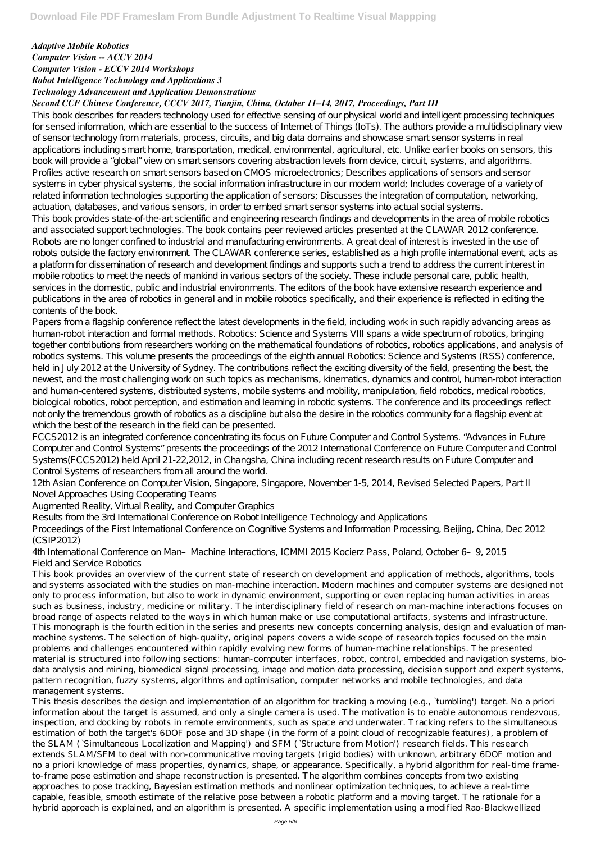## *Adaptive Mobile Robotics Computer Vision -- ACCV 2014 Computer Vision - ECCV 2014 Workshops Robot Intelligence Technology and Applications 3 Technology Advancement and Application Demonstrations*

## *Second CCF Chinese Conference, CCCV 2017, Tianjin, China, October 11–14, 2017, Proceedings, Part III*

This book describes for readers technology used for effective sensing of our physical world and intelligent processing techniques for sensed information, which are essential to the success of Internet of Things (IoTs). The authors provide a multidisciplinary view of sensor technology from materials, process, circuits, and big data domains and showcase smart sensor systems in real applications including smart home, transportation, medical, environmental, agricultural, etc. Unlike earlier books on sensors, this book will provide a "global" view on smart sensors covering abstraction levels from device, circuit, systems, and algorithms. Profiles active research on smart sensors based on CMOS microelectronics; Describes applications of sensors and sensor systems in cyber physical systems, the social information infrastructure in our modern world; Includes coverage of a variety of related information technologies supporting the application of sensors; Discusses the integration of computation, networking, actuation, databases, and various sensors, in order to embed smart sensor systems into actual social systems. This book provides state-of-the-art scientific and engineering research findings and developments in the area of mobile robotics

Papers from a flagship conference reflect the latest developments in the field, including work in such rapidly advancing areas as human-robot interaction and formal methods. Robotics: Science and Systems VIII spans a wide spectrum of robotics, bringing together contributions from researchers working on the mathematical foundations of robotics, robotics applications, and analysis of robotics systems. This volume presents the proceedings of the eighth annual Robotics: Science and Systems (RSS) conference, held in July 2012 at the University of Sydney. The contributions reflect the exciting diversity of the field, presenting the best, the newest, and the most challenging work on such topics as mechanisms, kinematics, dynamics and control, human-robot interaction and human-centered systems, distributed systems, mobile systems and mobility, manipulation, field robotics, medical robotics, biological robotics, robot perception, and estimation and learning in robotic systems. The conference and its proceedings reflect not only the tremendous growth of robotics as a discipline but also the desire in the robotics community for a flagship event at which the best of the research in the field can be presented.

and associated support technologies. The book contains peer reviewed articles presented at the CLAWAR 2012 conference. Robots are no longer confined to industrial and manufacturing environments. A great deal of interest is invested in the use of robots outside the factory environment. The CLAWAR conference series, established as a high profile international event, acts as a platform for dissemination of research and development findings and supports such a trend to address the current interest in mobile robotics to meet the needs of mankind in various sectors of the society. These include personal care, public health, services in the domestic, public and industrial environments. The editors of the book have extensive research experience and publications in the area of robotics in general and in mobile robotics specifically, and their experience is reflected in editing the contents of the book.

FCCS2012 is an integrated conference concentrating its focus on Future Computer and Control Systems. "Advances in Future Computer and Control Systems" presents the proceedings of the 2012 International Conference on Future Computer and Control Systems(FCCS2012) held April 21-22,2012, in Changsha, China including recent research results on Future Computer and Control Systems of researchers from all around the world.

12th Asian Conference on Computer Vision, Singapore, Singapore, November 1-5, 2014, Revised Selected Papers, Part II Novel Approaches Using Cooperating Teams

Augmented Reality, Virtual Reality, and Computer Graphics

Results from the 3rd International Conference on Robot Intelligence Technology and Applications

Proceedings of the First International Conference on Cognitive Systems and Information Processing, Beijing, China, Dec 2012 (CSIP2012)

4th International Conference on Man–Machine Interactions, ICMMI 2015 Kocierz Pass, Poland, October 6–9, 2015 Field and Service Robotics

This book provides an overview of the current state of research on development and application of methods, algorithms, tools and systems associated with the studies on man-machine interaction. Modern machines and computer systems are designed not only to process information, but also to work in dynamic environment, supporting or even replacing human activities in areas such as business, industry, medicine or military. The interdisciplinary field of research on man-machine interactions focuses on broad range of aspects related to the ways in which human make or use computational artifacts, systems and infrastructure.

This monograph is the fourth edition in the series and presents new concepts concerning analysis, design and evaluation of manmachine systems. The selection of high-quality, original papers covers a wide scope of research topics focused on the main problems and challenges encountered within rapidly evolving new forms of human-machine relationships. The presented material is structured into following sections: human-computer interfaces, robot, control, embedded and navigation systems, biodata analysis and mining, biomedical signal processing, image and motion data processing, decision support and expert systems, pattern recognition, fuzzy systems, algorithms and optimisation, computer networks and mobile technologies, and data management systems. This thesis describes the design and implementation of an algorithm for tracking a moving (e.g., `tumbling') target. No a priori information about the target is assumed, and only a single camera is used. The motivation is to enable autonomous rendezvous, inspection, and docking by robots in remote environments, such as space and underwater. Tracking refers to the simultaneous estimation of both the target's 6DOF pose and 3D shape (in the form of a point cloud of recognizable features), a problem of the SLAM (`Simultaneous Localization and Mapping') and SFM (`Structure from Motion') research fields. This research extends SLAM/SFM to deal with non-communicative moving targets (rigid bodies) with unknown, arbitrary 6DOF motion and no a priori knowledge of mass properties, dynamics, shape, or appearance. Specifically, a hybrid algorithm for real-time frameto-frame pose estimation and shape reconstruction is presented. The algorithm combines concepts from two existing approaches to pose tracking, Bayesian estimation methods and nonlinear optimization techniques, to achieve a real-time capable, feasible, smooth estimate of the relative pose between a robotic platform and a moving target. The rationale for a hybrid approach is explained, and an algorithm is presented. A specific implementation using a modified Rao-Blackwellized